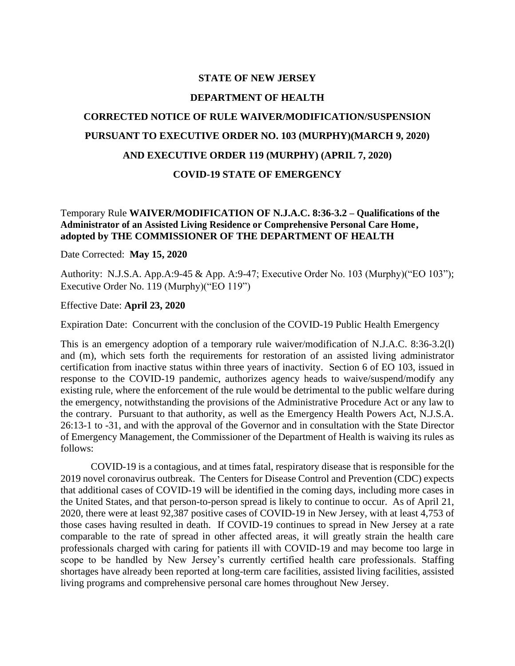### **STATE OF NEW JERSEY**

#### **DEPARTMENT OF HEALTH**

# **CORRECTED NOTICE OF RULE WAIVER/MODIFICATION/SUSPENSION PURSUANT TO EXECUTIVE ORDER NO. 103 (MURPHY)(MARCH 9, 2020) AND EXECUTIVE ORDER 119 (MURPHY) (APRIL 7, 2020)**

#### **COVID-19 STATE OF EMERGENCY**

## Temporary Rule **WAIVER/MODIFICATION OF N.J.A.C. 8:36-3.2 – Qualifications of the Administrator of an Assisted Living Residence or Comprehensive Personal Care Home, adopted by THE COMMISSIONER OF THE DEPARTMENT OF HEALTH**

Date Corrected: **May 15, 2020**

Authority: N.J.S.A. App.A:9-45 & App. A:9-47; Executive Order No. 103 (Murphy)("EO 103"); Executive Order No. 119 (Murphy)("EO 119")

Effective Date: **April 23, 2020**

Expiration Date: Concurrent with the conclusion of the COVID-19 Public Health Emergency

This is an emergency adoption of a temporary rule waiver/modification of N.J.A.C. 8:36-3.2(l) and (m), which sets forth the requirements for restoration of an assisted living administrator certification from inactive status within three years of inactivity. Section 6 of EO 103, issued in response to the COVID-19 pandemic, authorizes agency heads to waive/suspend/modify any existing rule, where the enforcement of the rule would be detrimental to the public welfare during the emergency, notwithstanding the provisions of the Administrative Procedure Act or any law to the contrary. Pursuant to that authority, as well as the Emergency Health Powers Act, N.J.S.A. 26:13-1 to -31, and with the approval of the Governor and in consultation with the State Director of Emergency Management, the Commissioner of the Department of Health is waiving its rules as follows:

COVID-19 is a contagious, and at times fatal, respiratory disease that is responsible for the 2019 novel coronavirus outbreak. The Centers for Disease Control and Prevention (CDC) expects that additional cases of COVID-19 will be identified in the coming days, including more cases in the United States, and that person-to-person spread is likely to continue to occur. As of April 21, 2020, there were at least 92,387 positive cases of COVID-19 in New Jersey, with at least 4,753 of those cases having resulted in death. If COVID-19 continues to spread in New Jersey at a rate comparable to the rate of spread in other affected areas, it will greatly strain the health care professionals charged with caring for patients ill with COVID-19 and may become too large in scope to be handled by New Jersey's currently certified health care professionals. Staffing shortages have already been reported at long-term care facilities, assisted living facilities, assisted living programs and comprehensive personal care homes throughout New Jersey.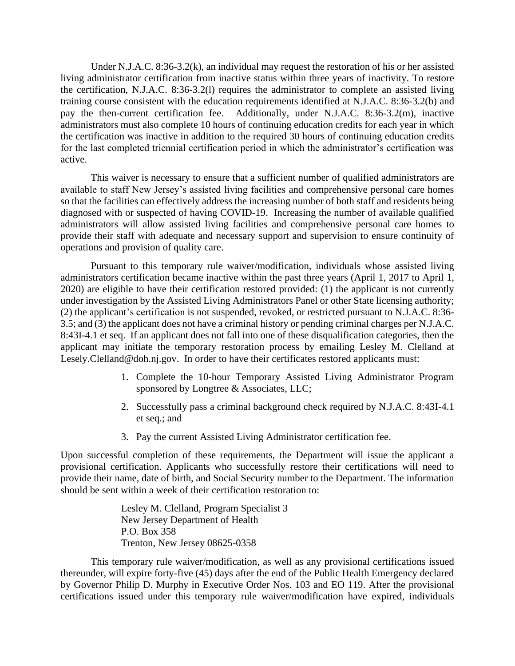Under N.J.A.C. 8:36-3.2(k), an individual may request the restoration of his or her assisted living administrator certification from inactive status within three years of inactivity. To restore the certification, N.J.A.C. 8:36-3.2(l) requires the administrator to complete an assisted living training course consistent with the education requirements identified at N.J.A.C. 8:36-3.2(b) and pay the then-current certification fee. Additionally, under N.J.A.C. 8:36-3.2(m), inactive administrators must also complete 10 hours of continuing education credits for each year in which the certification was inactive in addition to the required 30 hours of continuing education credits for the last completed triennial certification period in which the administrator's certification was active.

This waiver is necessary to ensure that a sufficient number of qualified administrators are available to staff New Jersey's assisted living facilities and comprehensive personal care homes so that the facilities can effectively address the increasing number of both staff and residents being diagnosed with or suspected of having COVID-19. Increasing the number of available qualified administrators will allow assisted living facilities and comprehensive personal care homes to provide their staff with adequate and necessary support and supervision to ensure continuity of operations and provision of quality care.

Pursuant to this temporary rule waiver/modification, individuals whose assisted living administrators certification became inactive within the past three years (April 1, 2017 to April 1, 2020) are eligible to have their certification restored provided: (1) the applicant is not currently under investigation by the Assisted Living Administrators Panel or other State licensing authority; (2) the applicant's certification is not suspended, revoked, or restricted pursuant to N.J.A.C. 8:36- 3.5; and (3) the applicant does not have a criminal history or pending criminal charges per N.J.A.C. 8:43I-4.1 et seq. If an applicant does not fall into one of these disqualification categories, then the applicant may initiate the temporary restoration process by emailing Lesley M. Clelland at Lesely.Clelland@doh.nj.gov. In order to have their certificates restored applicants must:

- 1. Complete the 10-hour Temporary Assisted Living Administrator Program sponsored by Longtree & Associates, LLC;
- 2. Successfully pass a criminal background check required by N.J.A.C. 8:43I-4.1 et seq.; and
- 3. Pay the current Assisted Living Administrator certification fee.

Upon successful completion of these requirements, the Department will issue the applicant a provisional certification. Applicants who successfully restore their certifications will need to provide their name, date of birth, and Social Security number to the Department. The information should be sent within a week of their certification restoration to:

> Lesley M. Clelland, Program Specialist 3 New Jersey Department of Health P.O. Box 358 Trenton, New Jersey 08625-0358

This temporary rule waiver/modification, as well as any provisional certifications issued thereunder, will expire forty-five (45) days after the end of the Public Health Emergency declared by Governor Philip D. Murphy in Executive Order Nos. 103 and EO 119. After the provisional certifications issued under this temporary rule waiver/modification have expired, individuals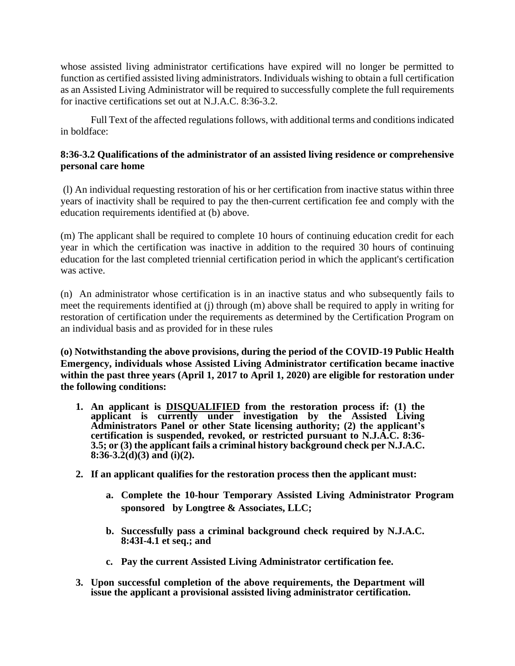whose assisted living administrator certifications have expired will no longer be permitted to function as certified assisted living administrators. Individuals wishing to obtain a full certification as an Assisted Living Administrator will be required to successfully complete the full requirements for inactive certifications set out at N.J.A.C. 8:36-3.2.

Full Text of the affected regulations follows, with additional terms and conditions indicated in boldface:

## **8:36-3.2 Qualifications of the administrator of an assisted living residence or comprehensive personal care home**

(l) An individual requesting restoration of his or her certification from inactive status within three years of inactivity shall be required to pay the then-current certification fee and comply with the education requirements identified at (b) above.

(m) The applicant shall be required to complete 10 hours of continuing education credit for each year in which the certification was inactive in addition to the required 30 hours of continuing education for the last completed triennial certification period in which the applicant's certification was active.

(n) An administrator whose certification is in an inactive status and who subsequently fails to meet the requirements identified at (j) through (m) above shall be required to apply in writing for restoration of certification under the requirements as determined by the Certification Program on an individual basis and as provided for in these rules

**(o) Notwithstanding the above provisions, during the period of the COVID-19 Public Health Emergency, individuals whose Assisted Living Administrator certification became inactive within the past three years (April 1, 2017 to April 1, 2020) are eligible for restoration under the following conditions:**

- **1. An applicant is DISQUALIFIED from the restoration process if: (1) the applicant is currently under investigation by the Assisted Living Administrators Panel or other State licensing authority; (2) the applicant's certification is suspended, revoked, or restricted pursuant to N.J.A.C. 8:36- 3.5; or (3) the applicant fails a criminal history background check per N.J.A.C. 8:36-3.2(d)(3) and (i)(2).**
- **2. If an applicant qualifies for the restoration process then the applicant must:**
	- **a. Complete the 10-hour Temporary Assisted Living Administrator Program sponsored by Longtree & Associates, LLC;**
	- **b. Successfully pass a criminal background check required by N.J.A.C. 8:43I-4.1 et seq.; and**
	- **c. Pay the current Assisted Living Administrator certification fee.**
- **3. Upon successful completion of the above requirements, the Department will issue the applicant a provisional assisted living administrator certification.**